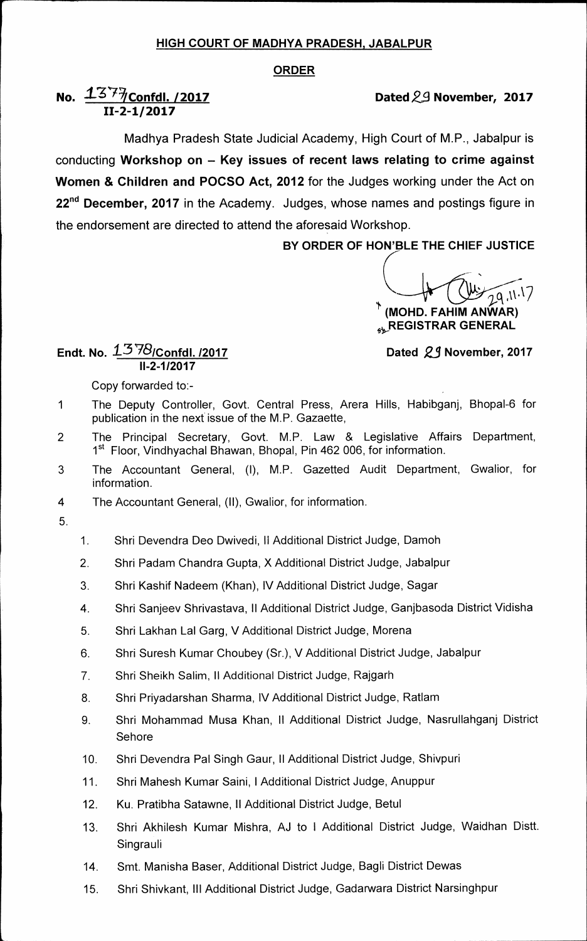## **HIGH COURT OF MADHYA PRADESH, JABALPUR**

## **ORDER**

# **No.**  $1377$  Confdl. /2017 *Dated 29 November, 2017* **11-2-1/2017**

**Madhya Pradesh State Judicial Academy, High Court of M.P., Jabalpur is conducting Workshop on — Key issues of recent laws relating to crime against Women & Children and POCSO Act, 2012 for the Judges working under the Act on 22ndDecember, 2017 in the Academy. Judges, whose names and postings figure in the endorsement are directed to attend the aforesaid Workshop.** 

**BY ORDER OF HOWBLE THE CHIEF JUSTICE** 

a .<sup>11.17</sup>

**(MOHD. FAHIM ANWAR) REGISTRAR GENERAL** 

### **Dated** *23* **November, 2017**

**11-2-1/2017 Copy forwarded to:-** 

**Endt. No. 1378/Confdl. /2017** 

- **1 The Deputy Controller, Govt. Central Press, Arera Hills, Habibganj, Bhopal-6 for publication in the next.issue of the M.P. Gazaette,**
- **2 The Principal Secretary, Govt. M.P. Law & Legislative Affairs Department,**  1<sup>st</sup> Floor, Vindhyachal Bhawan, Bhopal, Pin 462 006, for information.
- **3 The Accountant General, (I), M.P. Gazetted Audit Department, Gwalior, for information.**
- **4 The Accountant General, (II), Gwalior, for information.**
- **5.**
- **1. Shri Devendra Deo Dwivedi, II Additional District Judge, Damoh**
- **2. Shri Padam Chandra Gupta, X Additional District Judge, Jabalpur**
- **3. Shri Kashif Nadeem (Khan), IV Additional District Judge, Sagar**
- **4. Shri Sanjeev Shrivastava, II Additional District Judge, Ganjbasoda District Vidisha**
- **5. Shri Lakhan Lal Garg, V Additional District Judge, Morena**
- **6. Shri Suresh Kumar Choubey (Sr.), V Additional District Judge, Jabalpur**
- **7. Shri Sheikh Salim, II Additional District Judge, Rajgarh**
- **8. Shri Priyadarshan Sharma, IV Additional District Judge, Ratlam**
- **9. Shri Mohammad Musa Khan, II Additional District Judge, Nasrullahganj District Sehore**
- **10. Shri Devendra Pal Singh Gaur, II Additional District Judge, Shivpuri**
- **11. Shri Mahesh Kumar Saini, I Additional District Judge, Anuppur**
- **12. Ku. Pratibha Satawne, II Additional District Judge, Betul**
- **13. Shri Akhilesh Kumar Mishra, AJ to I Additional District Judge, Waidhan Distt. Singrauli**
- **14. Smt. Manisha Baser, Additional District Judge, Bagli District Dewas**
- **15. Shri Shivkant, Ill Additional District Judge, Gadarwara District Narsinghpur**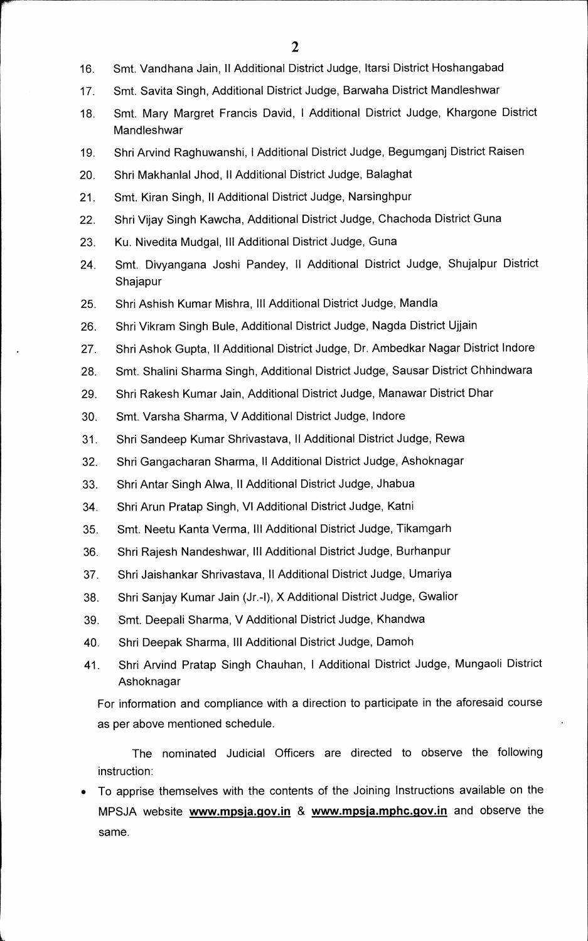- 16. Smt. Vandhana Jain, II Additional District Judge, Itarsi District Hoshangabad
- **17. Smt. Savita Singh, Additional District Judge, Barwaha District Mandleshwar**
- **18. Smt. Mary Margret Francis David, I Additional District Judge, Khargone District Mandleshwar**
- **19. Shri Arvind Raghuwanshi, I Additional District Judge, Begumganj District Raisen**
- **20. Shri Makhanlal Jhod, II Additional District Judge, Balaghat**
- **21. Smt. Kiran Singh, II Additional District Judge, Narsinghpur**
- **22. Shri Vijay Singh Kawcha, Additional District Judge, Chachoda District Guna**
- **23. Ku. Nivedita Mudgal, Ill Additional District Judge, Guna**
- **24. Smt. Divyangana Joshi Pandey, II Additional District Judge, Shujalpur District Shajapur**
- **25. Shri Ashish Kumar Mishra, Ill Additional District Judge, Mandla**
- **26. Shri Vikram Singh Buie, Additional District Judge, Nagda District Ujjain**
- **27. Shri Ashok Gupta, II Additional District Judge, Dr. Ambedkar Nagar District Indore**
- **28. Smt. Shalini Sharma Singh, Additional District Judge, Sausar District Chhindwara**
- **29. Shri Rakesh Kumar Jain, Additional District Judge, Manawar District Dhar**
- **30. Smt. Varsha Sharma, V Additional District Judge, lndore**
- **31. Shri Sandeep Kumar Shrivastava, II Additional District Judge, Rewa**
- **32. Shri Gangacharan Sharma, II Additional District Judge, Ashoknagar**
- **33. Shri Antar Singh Alwa, II Additional District Judge, Jhabua**
- **34. Shri Arun Pratap Singh, VI Additional District Judge, Katni**
- **35. Smt. Neetu Kanta Verma, Ill Additional District Judge, Tikamgarh**
- **36. Shri Rajesh Nandeshwar, Ill Additional District Judge, Burhanpur**
- **37. Shri Jaishankar Shrivastava, II Additional District Judge, Umariya**
- 38. Shri Sanjay Kumar Jain (Jr.-I), X Additional District Judge, Gwalior
- **39. Smt. Deepali Sharma, V Additional District Judge, Khandwa**
- **40. Shri Deepak Sharma, Ill Additional District Judge, Damoh**
- **41. Shri Arvind Pratap Singh Chauhan, I Additional District Judge, Mungaoli District Ashoknagar**

**For information and compliance with a direction to participate in the aforesaid course as per above mentioned schedule.** 

**The nominated Judicial Officers are directed to observe the following instruction:** 

**• To apprise themselves with the contents of the Joining Instructions available on the**  MPSJA website **www.mpsja.gov.in** & www.mpsja.mphc.gov.in and observe the **same.**